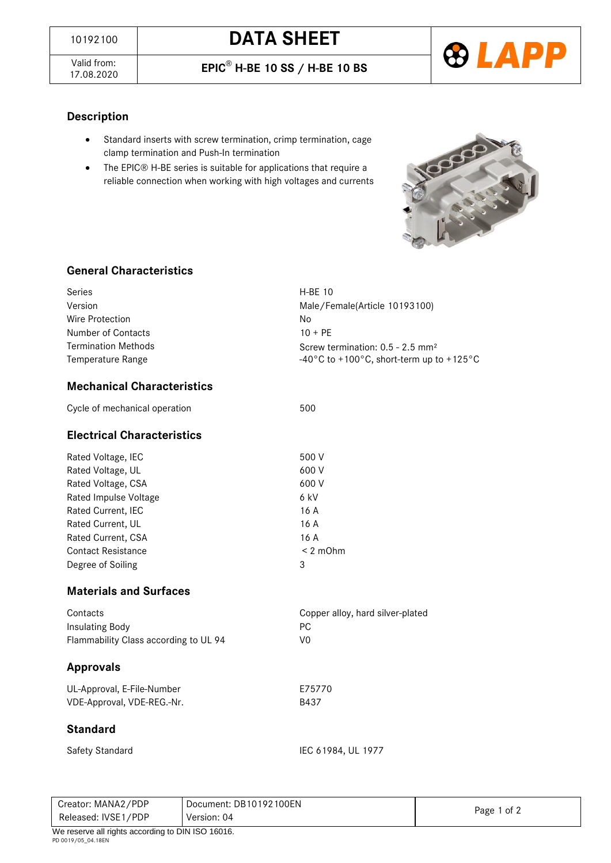Valid from:<br>17.08.2020





#### **Description**

- Standard inserts with screw termination, crimp termination, cage clamp termination and Push-In termination
- The EPIC® H-BE series is suitable for applications that require a reliable connection when working with high voltages and currents



## **General Characteristics**

| Series                     | $H-BF$ 10                                      |  |
|----------------------------|------------------------------------------------|--|
| Version                    | Male/Female(Article 10193100)                  |  |
| Wire Protection            | No                                             |  |
| Number of Contacts         | $10 + PF$                                      |  |
| <b>Termination Methods</b> | Screw termination: $0.5 - 2.5$ mm <sup>2</sup> |  |
| Temperature Range          | -40°C to +100°C, short-term up to +125°C       |  |
|                            |                                                |  |

### **Mechanical Characteristics**

| Cycle of mechanical operation | 500 |
|-------------------------------|-----|
|                               |     |

#### **Electrical Characteristics**

| Rated Voltage, IEC        | 500 V         |
|---------------------------|---------------|
| Rated Voltage, UL         | 600 V         |
| Rated Voltage, CSA        | 600 V         |
| Rated Impulse Voltage     | 6 kV          |
| Rated Current, IEC        | 16 A          |
| Rated Current, UL         | 16 A          |
| Rated Current, CSA        | 16 A          |
| <b>Contact Resistance</b> | $< 2$ m $Ohm$ |
| Degree of Soiling         | 3             |
|                           |               |

#### **Materials and Surfaces**

| Contacts                              | Copper alloy, hard silver-plated |
|---------------------------------------|----------------------------------|
| Insulating Body                       | PC.                              |
| Flammability Class according to UL 94 | V0                               |

## **Approvals**

| UL-Approval, E-File-Number | E75770 |
|----------------------------|--------|
| VDE-Approval, VDE-REG.-Nr. | B437   |

#### **Standard**

| Safety Standard |
|-----------------|
|-----------------|

IEC 61984, UL 1977

| Creator: MANA2/PDP                               | Document: DB10192100EN |             |
|--------------------------------------------------|------------------------|-------------|
| Released: IVSE1/PDP                              | Version: 04            | Page 1 of 2 |
| We reserve all rights according to DIN ISO 16016 |                        |             |